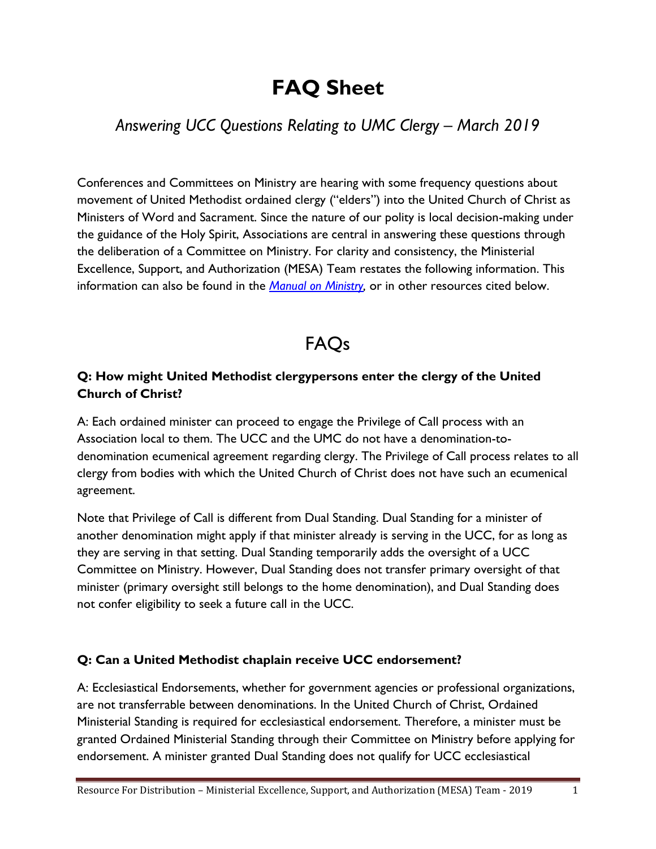# **FAQ Sheet**

### *Answering UCC Questions Relating to UMC Clergy – March 2019*

Conferences and Committees on Ministry are hearing with some frequency questions about movement of United Methodist ordained clergy ("elders") into the United Church of Christ as Ministers of Word and Sacrament. Since the nature of our polity is local decision-making under the guidance of the Holy Spirit, Associations are central in answering these questions through the deliberation of a Committee on Ministry. For clarity and consistency, the Ministerial Excellence, Support, and Authorization (MESA) Team restates the following information. This information can also be found in the *[Manual on Ministry,](http://www.ucc.org/ministers_manual)* or in other resources cited below.

## FAQs

#### **Q: How might United Methodist clergypersons enter the clergy of the United Church of Christ?**

A: Each ordained minister can proceed to engage the Privilege of Call process with an Association local to them. The UCC and the UMC do not have a denomination-todenomination ecumenical agreement regarding clergy. The Privilege of Call process relates to all clergy from bodies with which the United Church of Christ does not have such an ecumenical agreement.

Note that Privilege of Call is different from Dual Standing. Dual Standing for a minister of another denomination might apply if that minister already is serving in the UCC, for as long as they are serving in that setting. Dual Standing temporarily adds the oversight of a UCC Committee on Ministry. However, Dual Standing does not transfer primary oversight of that minister (primary oversight still belongs to the home denomination), and Dual Standing does not confer eligibility to seek a future call in the UCC.

#### **Q: Can a United Methodist chaplain receive UCC endorsement?**

A: Ecclesiastical Endorsements, whether for government agencies or professional organizations, are not transferrable between denominations. In the United Church of Christ, Ordained Ministerial Standing is required for ecclesiastical endorsement. Therefore, a minister must be granted Ordained Ministerial Standing through their Committee on Ministry before applying for endorsement. A minister granted Dual Standing does not qualify for UCC ecclesiastical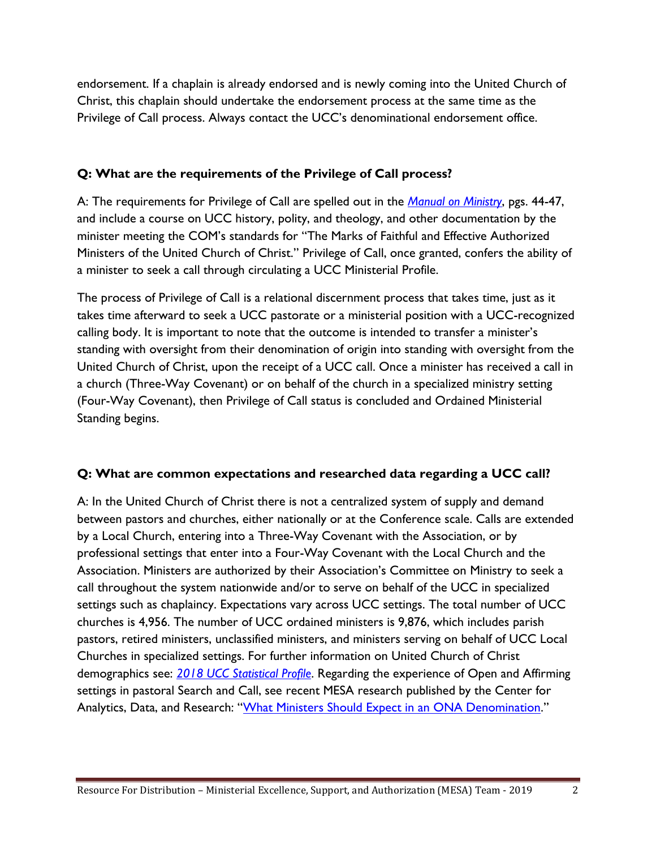endorsement. If a chaplain is already endorsed and is newly coming into the United Church of Christ, this chaplain should undertake the endorsement process at the same time as the Privilege of Call process. Always contact the UCC's denominational endorsement office.

#### **Q: What are the requirements of the Privilege of Call process?**

A: The requirements for Privilege of Call are spelled out in the *[Manual on Ministry](http://www.ucc.org/ministers_manual)*, pgs. 44-47, and include a course on UCC history, polity, and theology, and other documentation by the minister meeting the COM's standards for "The Marks of Faithful and Effective Authorized Ministers of the United Church of Christ." Privilege of Call, once granted, confers the ability of a minister to seek a call through circulating a UCC Ministerial Profile.

The process of Privilege of Call is a relational discernment process that takes time, just as it takes time afterward to seek a UCC pastorate or a ministerial position with a UCC-recognized calling body. It is important to note that the outcome is intended to transfer a minister's standing with oversight from their denomination of origin into standing with oversight from the United Church of Christ, upon the receipt of a UCC call. Once a minister has received a call in a church (Three-Way Covenant) or on behalf of the church in a specialized ministry setting (Four-Way Covenant), then Privilege of Call status is concluded and Ordained Ministerial Standing begins.

#### **Q: What are common expectations and researched data regarding a UCC call?**

A: In the United Church of Christ there is not a centralized system of supply and demand between pastors and churches, either nationally or at the Conference scale. Calls are extended by a Local Church, entering into a Three-Way Covenant with the Association, or by professional settings that enter into a Four-Way Covenant with the Local Church and the Association. Ministers are authorized by their Association's Committee on Ministry to seek a call throughout the system nationwide and/or to serve on behalf of the UCC in specialized settings such as chaplaincy. Expectations vary across UCC settings. The total number of UCC churches is 4,956. The number of UCC ordained ministers is 9,876, which includes parish pastors, retired ministers, unclassified ministers, and ministers serving on behalf of UCC Local Churches in specialized settings. For further information on United Church of Christ demographics see: *2018 UCC [Statistical Profile](https://www.uccfiles.com/pdf/2018-UCC-Statistical-Profile.pdf)*. Regarding the experience of Open and Affirming settings in pastoral Search and Call, see recent MESA research published by the Center for Analytics, Data, and Research: "[What Ministers Should Expect in an ONA Denomination](https://carducc.wordpress.com/2017/04/24/what-ministers-should-expect-in-an-ona-denomination/)."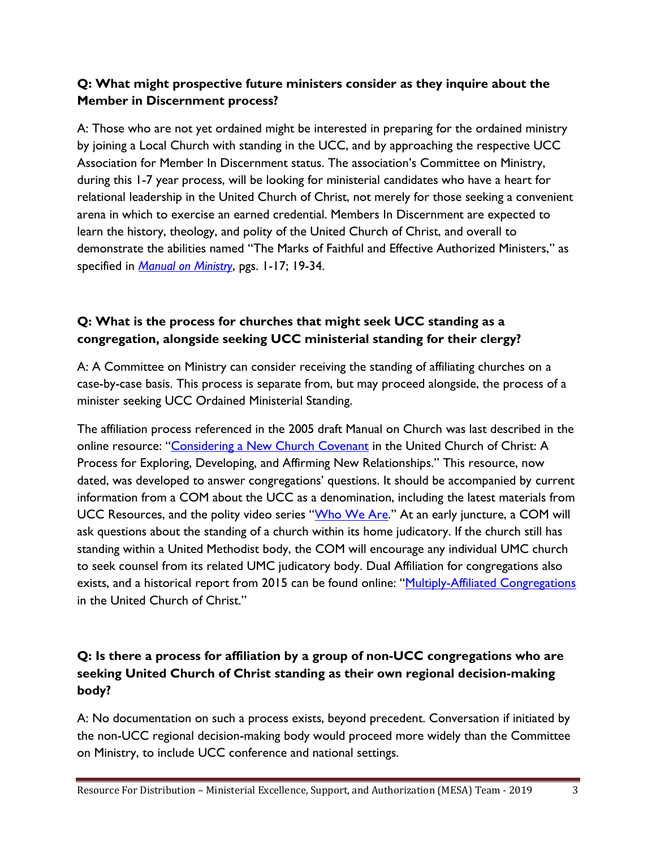#### **Q: What might prospective future ministers consider as they inquire about the Member in Discernment process?**

A: Those who are not yet ordained might be interested in preparing for the ordained ministry by joining a Local Church with standing in the UCC, and by approaching the respective UCC Association for Member In Discernment status. The association's Committee on Ministry, during this 1-7 year process, will be looking for ministerial candidates who have a heart for relational leadership in the United Church of Christ, not merely for those seeking a convenient arena in which to exercise an earned credential. Members In Discernment are expected to learn the history, theology, and polity of the United Church of Christ, and overall to demonstrate the abilities named "The Marks of Faithful and Effective Authorized Ministers," as specified in *[Manual on Ministry](http://www.ucc.org/ministers_manual)*, pgs. 1-17; 19-34.

#### **Q: What is the process for churches that might seek UCC standing as a congregation, alongside seeking UCC ministerial standing for their clergy?**

A: A Committee on Ministry can consider receiving the standing of affiliating churches on a case-by-case basis. This process is separate from, but may proceed alongside, the process of a minister seeking UCC Ordained Ministerial Standing.

The affiliation process referenced in the 2005 draft Manual on Church was last described in the online resource: "[Considering a New Church Covenant](http://d3n8a8pro7vhmx.cloudfront.net/unitedchurchofchrist/legacy_url/4992/newchurchb.pdf?1418427871) in the United Church of Christ: A Process for Exploring, Developing, and Affirming New Relationships." This resource, now dated, was developed to answer congregations' questions. It should be accompanied by current information from a COM about the UCC as a denomination, including the latest materials from UCC Resources, and the polity video series "[Who We Are](http://www.ucc.org/exploring_ucc_polity)." At an early juncture, a COM will ask questions about the standing of a church within its home judicatory. If the church still has standing within a United Methodist body, the COM will encourage any individual UMC church to seek counsel from its related UMC judicatory body. Dual Affiliation for congregations also exists, and a historical report from 2015 can be found online: "[Multiply-Affiliated Congregations](http://uccfiles.com/pdf/UCC-Multiply-Affiliated-Congregations-Report.pdf) in the United Church of Christ."

#### **Q: Is there a process for affiliation by a group of non-UCC congregations who are seeking United Church of Christ standing as their own regional decision-making body?**

A: No documentation on such a process exists, beyond precedent. Conversation if initiated by the non-UCC regional decision-making body would proceed more widely than the Committee on Ministry, to include UCC conference and national settings.